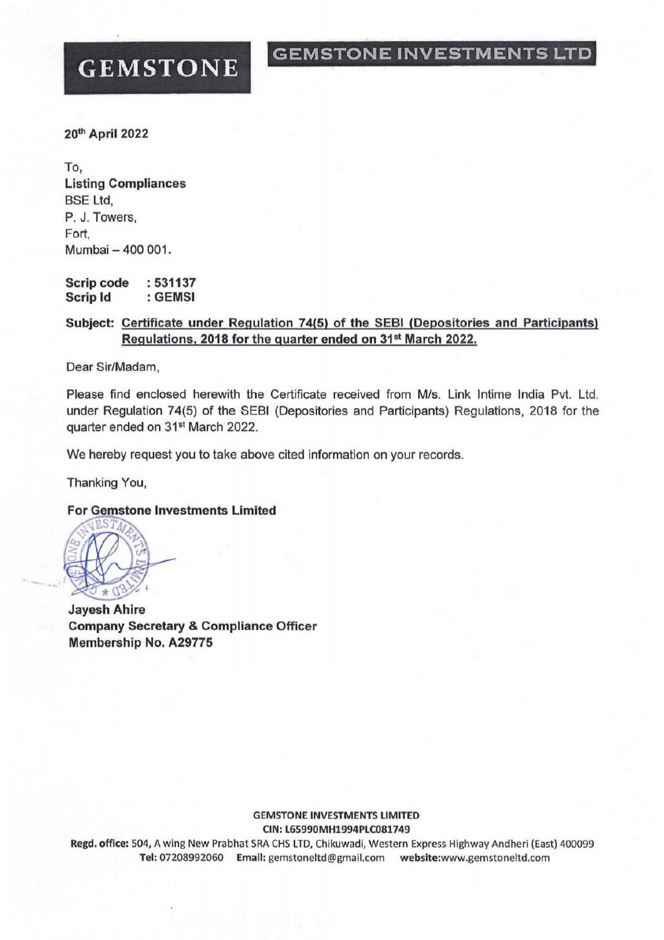## GEMSTONE INVESTMENTS LTD

# **GEMSTONE**

20th April 2022

To, Listing Compliances BSE Ltd, P. J. Towers, Fort, Mumbai - 400 001,

Scrip code Scrip Id : 531137 : GEMSI

### Subject: Certificate under Regulation 74(5) of the SEBI (Depositories and Participants) Regulations, 2018 for the quarter ended on 31<sup>st</sup> March 2022.

Dear Sir/Madam,

Please find enclosed herewith the Certificate received from MIs. Link Intime India Pvt. Ltd. under Regulation 74(5) of the SEBI (Depositories and Participants) Regulations, 2018 for the quarter ended on 31<sup>st</sup> March 2022.

We hereby request you to take above cited information on your records.

Thanking You,

#### **For Gemstone Investments Limited**



Jayesh Ahire Company Secretary & Compliance Officer Membership No, A29775

#### GEMSTONE INVESTMENTS LIMITED CIN: L65990MH1994PLC081749

Regd. office: 504, A wing New Prabhat SRA CHS LTD, Chikuwadi, Western Express Highway Andheri (East) 400099 Tel: 07208992060 Email: gemstoneltd@gmail.com webslte:www.gemstoneltd.com